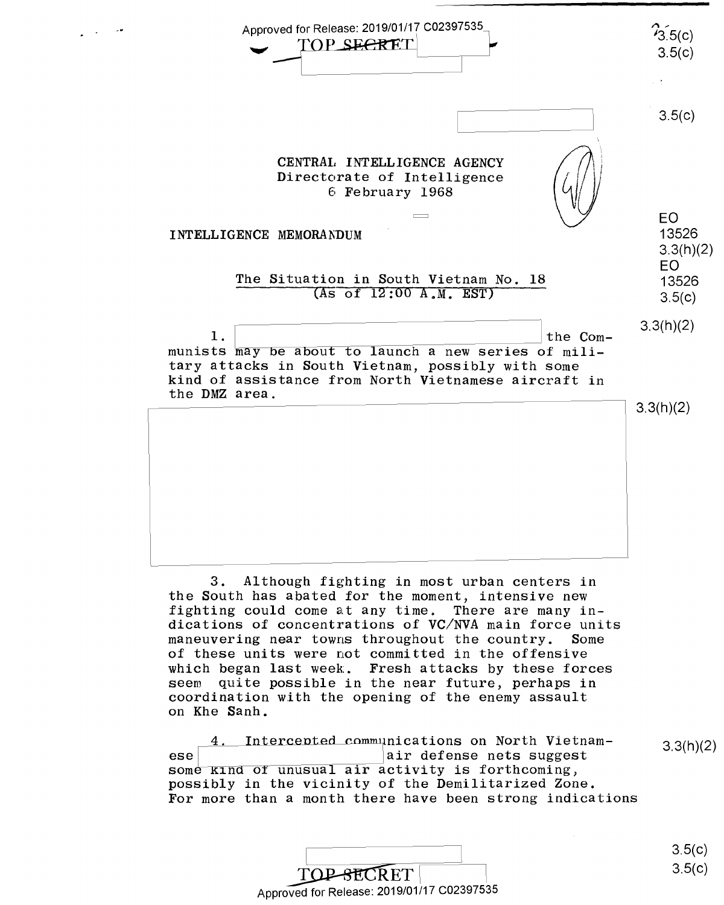

3. Although fighting in most urban centers in 3. Although fighting in most urban centers in the South has abated for the moment, intensive new the South has abated for the moment, intensive new fighting could come at any time. There are many in-fighting could come atany time. There are many in dications of concentrations of **VC/NVA** main force units dications of concentrations of VC/NVA main force units maneuvering near towns throughout the country. Some maneuvering near towns throughout the country. Some of these units were not committed in the offensive of these units were not committed in the offensive which began last week. Fresh attacks by these forces which began last week. Fresh attacks by these forces seem quite possible in the near future, perhaps in seem quite possible in the near future, perhaps in coordination with the opening of the enemy assault coordination with the opening of the enemy assault on Khe Sanh. on Khe Sanh.

4. Intercepted communications on North Vietnam-<br>3.3(h)(2) ese air defense nets suggest ese<br>some kind of unusual air activity is forthcoming, possibly in the vicinity of the Demilitarized Zone. possibly in the vicinity of the Demilitarized Zone. 3.3(h)(2) For more than a month there have been strong indications For more than <sup>a</sup> month there have been strong indications

| iwn w monten thore neve becan berong rhuroweroup |        |
|--------------------------------------------------|--------|
|                                                  |        |
|                                                  | 3.5(c) |
| <b>TOP-SECRET</b>                                | 3.5(c) |
| Approved for Release: 2019/01/17 C02397535       |        |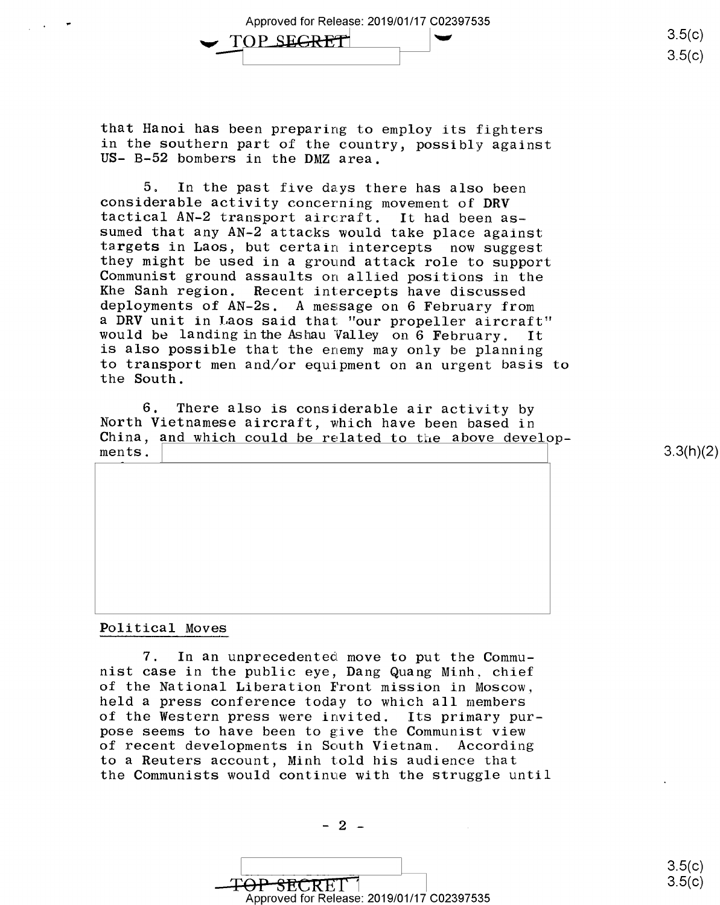Approved for Release: 2019/01/17 C02397535 Approved for Release: 2019/01/17 002397535 ....., TOP SECRET

that Hanoi has been preparing to employ its fighters that Hanoi has been preparing to employ its fighters in the southern part of the country, possibly against in the southern part of the country, possibly against US- B-52 bombers in the DMZ area. US— B—52 bombers in the DMZ area.

5. In the past five days there has also been 5. In the past five days there has also been considerable activity concerning movement of **DRV**  considerable activity concerning movement of DRV tactical AN-2 transport aircraft. It had been as-tactical AN-2 transport aircraft. It had been assumed that any AN-2 attacks would take place against sumed that any AN~2 attacks would take place against targets in Laos, but certain intercepts now suggest targets in Laos, but certain intercepts now suggest they might be used in a ground attack role to support they might be used in <sup>a</sup> ground attack role to support Communist ground assaults on allied positions in the Khe Sanh region. Recent intercepts have discussed Khe Sanh region. Recent intercepts have discussed deployments of AN-2s. A message on 6 February from deployments of AN-Zs. <sup>A</sup> message on <sup>6</sup> February from a DRV unit in Laos said that "our propeller aircraft" would be landing in the Ashau Valley on 6 February. It is also possible that the enemy may only be planning is also possible that the enemy may only be planning to transport men and/or equipment on an urgent basis to the South. the South.

6. There also is considerable air activity by 6. There also is considerable air activity by North Vietnamese aircraft, which have been based in North Vietnamese aircraft, which have been based in China, and which could be related to the above develop-<br>ments.  $\begin{bmatrix} 3.3(h)(2) \\ -1 \end{bmatrix}$ ments.

3.3(h)(2)

3.5(c)  $3.5(c)$ 

 $3.5(c)$  $3.5(c)$ 

## Political Moves Political Moves

7. In an unprecedented move to put the Commu-7. In an unprecedented move to put the Commu nist case in the public eye, Dang Quang Minh, chief nist case in the public eye, Dang Quang Minh. chief of the National Liberation Front mission in Moscow, of the National Liberation Front mission in Moscow, held a press conference today to which all members held <sup>a</sup> press conference today to which all members of the Western press were invited. Its primary pur-of the Western press were invited. Its primary purpose seems to have been to give the Communist view pose seems to have been to give the Communist view of recent developments in South Vietnam. According of recent developments in South Vietnam. According to a Reuters account, Minh told his audience that to <sup>a</sup> Reuters account, Minh told his audience that the Communists would continue with the struggle until the Communists would continue with the struggle until

13.5(c)<br>
TOP SECRET 1<br>
Approved for Release: 2019/01/17 C02397535